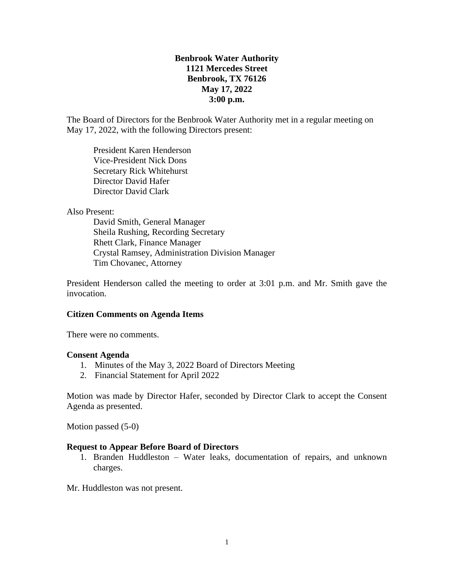## **Benbrook Water Authority 1121 Mercedes Street Benbrook, TX 76126 May 17, 2022 3:00 p.m.**

The Board of Directors for the Benbrook Water Authority met in a regular meeting on May 17, 2022, with the following Directors present:

President Karen Henderson Vice-President Nick Dons Secretary Rick Whitehurst Director David Hafer Director David Clark

### Also Present:

David Smith, General Manager Sheila Rushing, Recording Secretary Rhett Clark, Finance Manager Crystal Ramsey, Administration Division Manager Tim Chovanec, Attorney

President Henderson called the meeting to order at 3:01 p.m. and Mr. Smith gave the invocation.

### **Citizen Comments on Agenda Items**

There were no comments.

### **Consent Agenda**

- 1. Minutes of the May 3, 2022 Board of Directors Meeting
- 2. Financial Statement for April 2022

Motion was made by Director Hafer, seconded by Director Clark to accept the Consent Agenda as presented.

Motion passed (5-0)

### **Request to Appear Before Board of Directors**

1. Branden Huddleston – Water leaks, documentation of repairs, and unknown charges.

Mr. Huddleston was not present.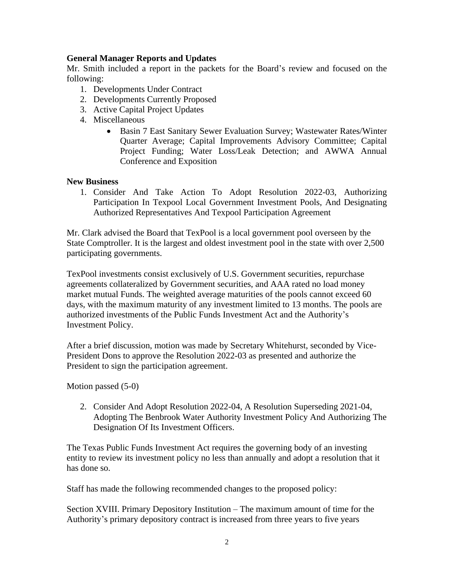## **General Manager Reports and Updates**

Mr. Smith included a report in the packets for the Board's review and focused on the following:

- 1. Developments Under Contract
- 2. Developments Currently Proposed
- 3. Active Capital Project Updates
- 4. Miscellaneous
	- Basin 7 East Sanitary Sewer Evaluation Survey; Wastewater Rates/Winter Quarter Average; Capital Improvements Advisory Committee; Capital Project Funding; Water Loss/Leak Detection; and AWWA Annual Conference and Exposition

## **New Business**

1. Consider And Take Action To Adopt Resolution 2022-03, Authorizing Participation In Texpool Local Government Investment Pools, And Designating Authorized Representatives And Texpool Participation Agreement

Mr. Clark advised the Board that TexPool is a local government pool overseen by the State Comptroller. It is the largest and oldest investment pool in the state with over 2,500 participating governments.

TexPool investments consist exclusively of U.S. Government securities, repurchase agreements collateralized by Government securities, and AAA rated no load money market mutual Funds. The weighted average maturities of the pools cannot exceed 60 days, with the maximum maturity of any investment limited to 13 months. The pools are authorized investments of the Public Funds Investment Act and the Authority's Investment Policy.

After a brief discussion, motion was made by Secretary Whitehurst, seconded by Vice-President Dons to approve the Resolution 2022-03 as presented and authorize the President to sign the participation agreement.

Motion passed (5-0)

2. Consider And Adopt Resolution 2022-04, A Resolution Superseding 2021-04, Adopting The Benbrook Water Authority Investment Policy And Authorizing The Designation Of Its Investment Officers.

The Texas Public Funds Investment Act requires the governing body of an investing entity to review its investment policy no less than annually and adopt a resolution that it has done so.

Staff has made the following recommended changes to the proposed policy:

Section XVIII. Primary Depository Institution – The maximum amount of time for the Authority's primary depository contract is increased from three years to five years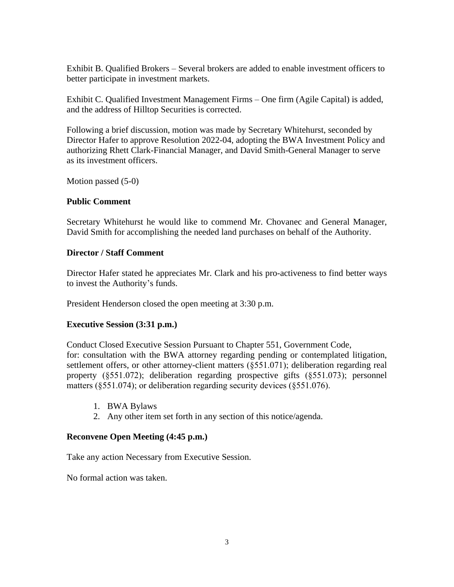Exhibit B. Qualified Brokers – Several brokers are added to enable investment officers to better participate in investment markets.

Exhibit C. Qualified Investment Management Firms – One firm (Agile Capital) is added, and the address of Hilltop Securities is corrected.

Following a brief discussion, motion was made by Secretary Whitehurst, seconded by Director Hafer to approve Resolution 2022-04, adopting the BWA Investment Policy and authorizing Rhett Clark-Financial Manager, and David Smith-General Manager to serve as its investment officers.

Motion passed (5-0)

## **Public Comment**

Secretary Whitehurst he would like to commend Mr. Chovanec and General Manager, David Smith for accomplishing the needed land purchases on behalf of the Authority.

## **Director / Staff Comment**

Director Hafer stated he appreciates Mr. Clark and his pro-activeness to find better ways to invest the Authority's funds.

President Henderson closed the open meeting at 3:30 p.m.

## **Executive Session (3:31 p.m.)**

Conduct Closed Executive Session Pursuant to Chapter 551, Government Code, for: consultation with the BWA attorney regarding pending or contemplated litigation, settlement offers, or other attorney-client matters (§551.071); deliberation regarding real property (§551.072); deliberation regarding prospective gifts (§551.073); personnel matters (§551.074); or deliberation regarding security devices (§551.076).

- 1. BWA Bylaws
- 2. Any other item set forth in any section of this notice/agenda.

# **Reconvene Open Meeting (4:45 p.m.)**

Take any action Necessary from Executive Session.

No formal action was taken.